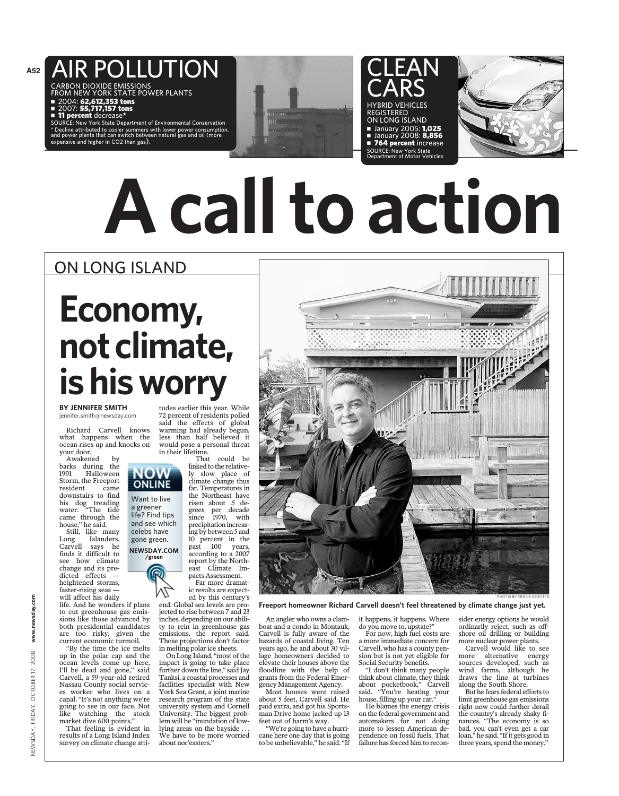## AIR POLLUTION

CARBON DIOXIDE EMISSIONS FROM NEW YORK STATE POWER PLANTS ■ 2004: **62,612,353 tons** 

■ 2007: **55,717,157 tons** 

**11 percent** decrease\*

SOURCE: New York State Department of Environmental Conservation \* Decline attributed to cooler summers with lower power consumption, and power plants that can switch between natural gas and oil (more nsive and higher in CO2 than gas).



CLEAN CARS HYBRID VEHICLES REGISTERED ON LONG ISLAND ■ January 2005: 1,025

■ January 2008: 8,856 **764 percent** increase SOURCE: New York State Department of Motor Vehicles



## **A call to action**

### ON LONG ISLAND

## **Economy,** not climate, **ishisworry**

#### **BY JENNIFER SMITH** jennifer.smith@newsday.com

Richard Carvell knows what happens when the ocean rises up and knocks on your door.

Awakened by barks during the<br>1991 Halloween **Halloween** Storm, the Freeport<br>resident came resident downstairs to find his dog treading water. "The tide came through the house," he said.

Still, like many Long Islanders,<br>Carvell says he says he finds it difficult to see how climate change and its predicted effects heightened storms, faster-rising seas will affect his daily

life. And he wonders if plans to cut greenhouse gas emissions like those advanced by both presidential candidates are too risky, given the current economic turmoil.

"By the time the ice melts up in the polar cap and the ocean levels come up here, I'll be dead and gone," said Carvell, a 59-year-old retired Nassau County social services worker who lives on a canal. "It's not anything we're going to see in our face. Not like watching the stock market dive 600 points."

That feeling is evident in results of a Long Island Index survey on climate change atti-

tudes earlier this year. While 72 percent of residents polled said the effects of global warming had already begun, less than half believed it would pose a personal threat in their lifetime.<br>That

could be linked to the relatively slow place of climate change thus far. Temperatures in the Northeast have risen about .5 degrees per decade since 1970, with precipitation increasing by between 5 and 10 percent in the past 100 years, according to a 2007 report by the Northeast Climate Impacts Assessment.

Far more dramatic results are expected by this century's end. Global sea levels are pro-

jected to rise between 7 and 23 inches, depending on our ability to rein in greenhouse gas emissions, the report said. Those projections don't factor in melting polar ice sheets.

On Long Island, "most of the impact is going to take place further down the line," said Jay Tanksi, a coastal processes and facilities specialist with New York Sea Grant, a joint marine research program of the state university system and Cornell University. The biggest problem will be "inundation of lowlying areas on the bayside. We have to be more worried about nor'easters."

An angler who owns a clamboat and a condo in Montauk, Carvell is fully aware of the hazards of coastal living. Ten years ago, he and about 30 village homeowners decided to elevate their houses above the floodline with the help of grants from the Federal Emergency Management Agency.

Most houses were raised about 5 feet, Carvell said. He paid extra, and got his Sportsman Drive home jacked up 13 feet out of harm's way.

"We're going to have a hurricane here one day that is going to be unbelievable," he said. "If it happens, it happens. Where do you move to, upstate?"

**Freeport homeowner Richard Carvell doesn't feel threatened by climate change just yet.**

For now, high fuel costs are a more immediate concern for Carvell, who has a county pension but is not yet eligible for Social Security benefits.

"I don't think many people think about climate, they think about pocketbook," Carvell said. "You're heating your house, filling up your car."

He blames the energy crisis on the federal government and automakers for not doing more to lessen American dependence on fossil fuels. That failure has forced him to reconsider energy options he would ordinarily reject, such as offshore oil drilling or building more nuclear power plants.

PHOTO BY FRANK KOESTER

Carvell would like to see more alternative energy sources developed, such as wind farms, although he draws the line at turbines along the South Shore.

But he fears federal efforts to limit greenhouse gas emissions right now could further derail the country's already shaky finances. "The economy is so bad, you can't even get a car loan," he said. "If it gets good in three years, spend the money."

OW ONLINE Want to live a greener life? Find tips and see which celebs have gone green.



NEWSDAY, FRIDAY, OCTOBER 17, 2008 **www.newsday.com** 

OCTOBER 17,

FRIDAY,

NEWSDAY,

2008

www.newsday.com

**A52**